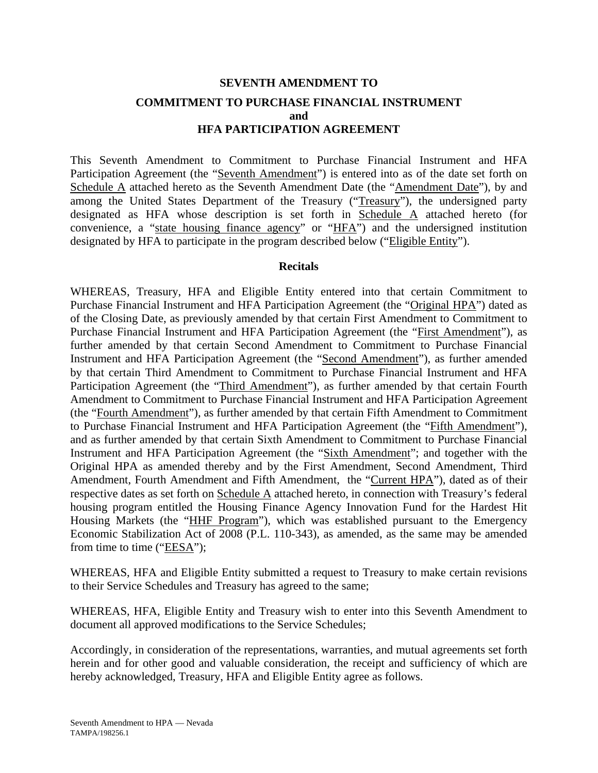## **SEVENTH AMENDMENT TO COMMITMENT TO PURCHASE FINANCIAL INSTRUMENT and HFA PARTICIPATION AGREEMENT**

This Seventh Amendment to Commitment to Purchase Financial Instrument and HFA Participation Agreement (the "Seventh Amendment") is entered into as of the date set forth on Schedule A attached hereto as the Seventh Amendment Date (the "Amendment Date"), by and among the United States Department of the Treasury ("Treasury"), the undersigned party designated as HFA whose description is set forth in Schedule A attached hereto (for convenience, a "state housing finance agency" or "HFA") and the undersigned institution designated by HFA to participate in the program described below ("Eligible Entity").

#### **Recitals**

WHEREAS, Treasury, HFA and Eligible Entity entered into that certain Commitment to Purchase Financial Instrument and HFA Participation Agreement (the "Original HPA") dated as of the Closing Date, as previously amended by that certain First Amendment to Commitment to Purchase Financial Instrument and HFA Participation Agreement (the "First Amendment"), as further amended by that certain Second Amendment to Commitment to Purchase Financial Instrument and HFA Participation Agreement (the "Second Amendment"), as further amended by that certain Third Amendment to Commitment to Purchase Financial Instrument and HFA Participation Agreement (the "Third Amendment"), as further amended by that certain Fourth Amendment to Commitment to Purchase Financial Instrument and HFA Participation Agreement (the "Fourth Amendment"), as further amended by that certain Fifth Amendment to Commitment to Purchase Financial Instrument and HFA Participation Agreement (the "Fifth Amendment"), and as further amended by that certain Sixth Amendment to Commitment to Purchase Financial Instrument and HFA Participation Agreement (the "Sixth Amendment"; and together with the Original HPA as amended thereby and by the First Amendment, Second Amendment, Third Amendment, Fourth Amendment and Fifth Amendment, the "Current HPA"), dated as of their respective dates as set forth on Schedule A attached hereto, in connection with Treasury's federal housing program entitled the Housing Finance Agency Innovation Fund for the Hardest Hit Housing Markets (the "HHF Program"), which was established pursuant to the Emergency Economic Stabilization Act of 2008 (P.L. 110-343), as amended, as the same may be amended from time to time ("EESA");

WHEREAS, HFA and Eligible Entity submitted a request to Treasury to make certain revisions to their Service Schedules and Treasury has agreed to the same;

WHEREAS, HFA, Eligible Entity and Treasury wish to enter into this Seventh Amendment to document all approved modifications to the Service Schedules;

Accordingly, in consideration of the representations, warranties, and mutual agreements set forth herein and for other good and valuable consideration, the receipt and sufficiency of which are hereby acknowledged, Treasury, HFA and Eligible Entity agree as follows.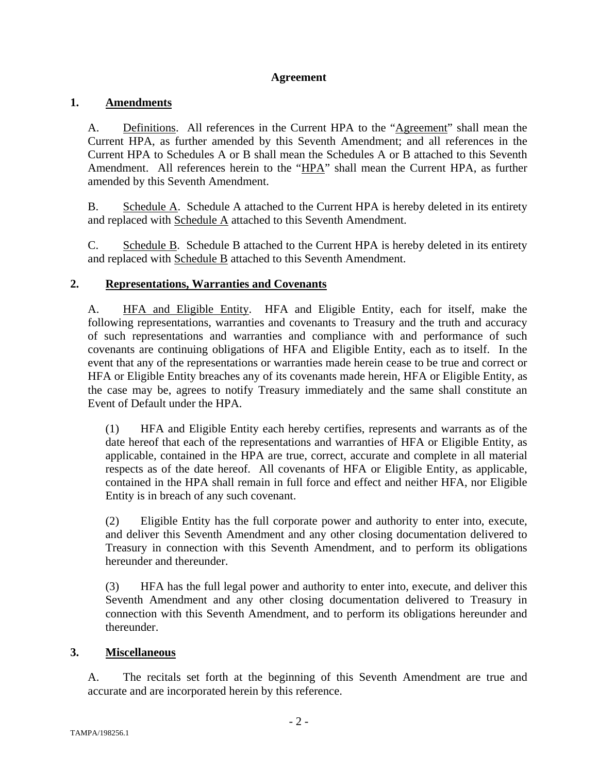## **Agreement**

## **1. Amendments**

A. Definitions. All references in the Current HPA to the "Agreement" shall mean the Current HPA, as further amended by this Seventh Amendment; and all references in the Current HPA to Schedules A or B shall mean the Schedules A or B attached to this Seventh Amendment. All references herein to the "HPA" shall mean the Current HPA, as further amended by this Seventh Amendment.

B. Schedule A. Schedule A attached to the Current HPA is hereby deleted in its entirety and replaced with Schedule A attached to this Seventh Amendment.

C. Schedule B. Schedule B attached to the Current HPA is hereby deleted in its entirety and replaced with Schedule B attached to this Seventh Amendment.

## **2. Representations, Warranties and Covenants**

A. HFA and Eligible Entity. HFA and Eligible Entity, each for itself, make the following representations, warranties and covenants to Treasury and the truth and accuracy of such representations and warranties and compliance with and performance of such covenants are continuing obligations of HFA and Eligible Entity, each as to itself. In the event that any of the representations or warranties made herein cease to be true and correct or HFA or Eligible Entity breaches any of its covenants made herein, HFA or Eligible Entity, as the case may be, agrees to notify Treasury immediately and the same shall constitute an Event of Default under the HPA.

(1) HFA and Eligible Entity each hereby certifies, represents and warrants as of the date hereof that each of the representations and warranties of HFA or Eligible Entity, as applicable, contained in the HPA are true, correct, accurate and complete in all material respects as of the date hereof. All covenants of HFA or Eligible Entity, as applicable, contained in the HPA shall remain in full force and effect and neither HFA, nor Eligible Entity is in breach of any such covenant.

(2) Eligible Entity has the full corporate power and authority to enter into, execute, and deliver this Seventh Amendment and any other closing documentation delivered to Treasury in connection with this Seventh Amendment, and to perform its obligations hereunder and thereunder.

(3) HFA has the full legal power and authority to enter into, execute, and deliver this Seventh Amendment and any other closing documentation delivered to Treasury in connection with this Seventh Amendment, and to perform its obligations hereunder and thereunder.

## **3. Miscellaneous**

A. The recitals set forth at the beginning of this Seventh Amendment are true and accurate and are incorporated herein by this reference.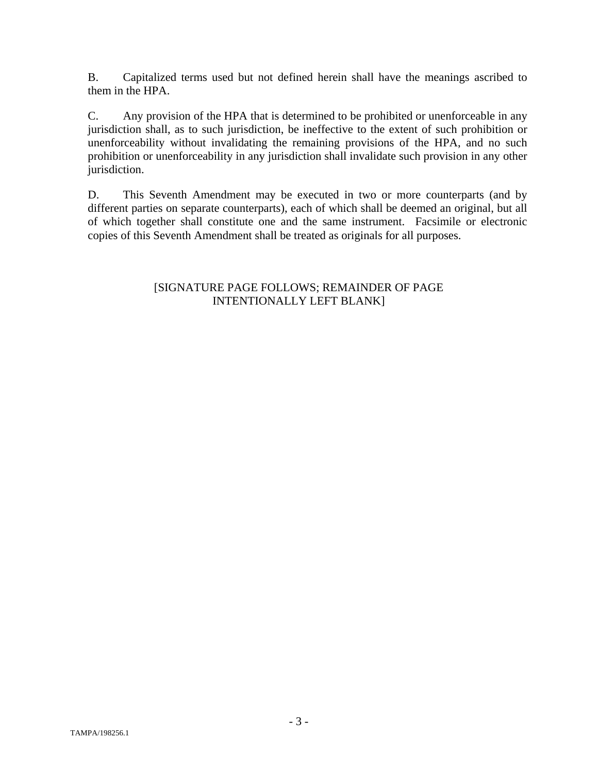B. Capitalized terms used but not defined herein shall have the meanings ascribed to them in the HPA.

C. Any provision of the HPA that is determined to be prohibited or unenforceable in any jurisdiction shall, as to such jurisdiction, be ineffective to the extent of such prohibition or unenforceability without invalidating the remaining provisions of the HPA, and no such prohibition or unenforceability in any jurisdiction shall invalidate such provision in any other jurisdiction.

D. This Seventh Amendment may be executed in two or more counterparts (and by different parties on separate counterparts), each of which shall be deemed an original, but all of which together shall constitute one and the same instrument. Facsimile or electronic copies of this Seventh Amendment shall be treated as originals for all purposes.

## [SIGNATURE PAGE FOLLOWS; REMAINDER OF PAGE INTENTIONALLY LEFT BLANK]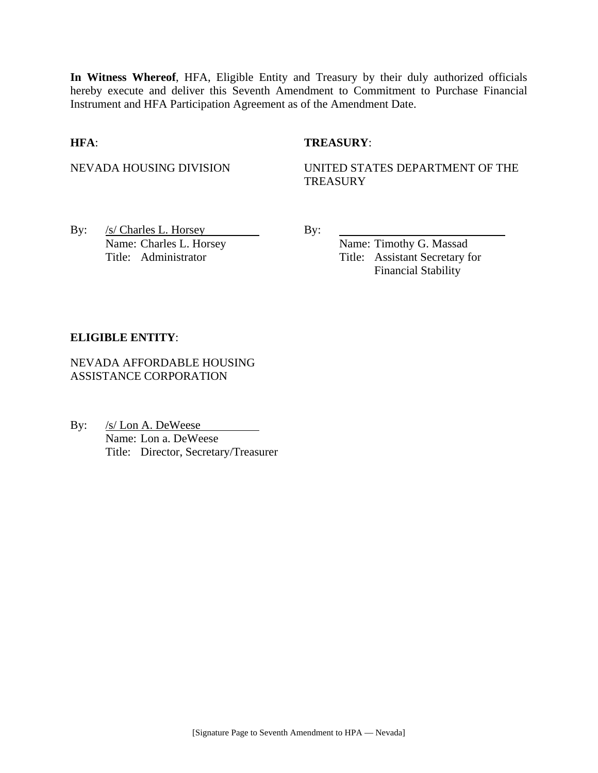**In Witness Whereof**, HFA, Eligible Entity and Treasury by their duly authorized officials hereby execute and deliver this Seventh Amendment to Commitment to Purchase Financial Instrument and HFA Participation Agreement as of the Amendment Date.

#### **HFA**: **TREASURY**:

NEVADA HOUSING DIVISION UNITED STATES DEPARTMENT OF THE **TREASURY** 

By:  $/s/$  Charles L. Horsey By: Name: Charles L. Horsey Name: Timothy G. Massad

Title: Administrator Title: Assistant Secretary for Financial Stability

#### **ELIGIBLE ENTITY**:

NEVADA AFFORDABLE HOUSING ASSISTANCE CORPORATION

By: /s/ Lon A. DeWeese Name: Lon a. DeWeese Title: Director, Secretary/Treasurer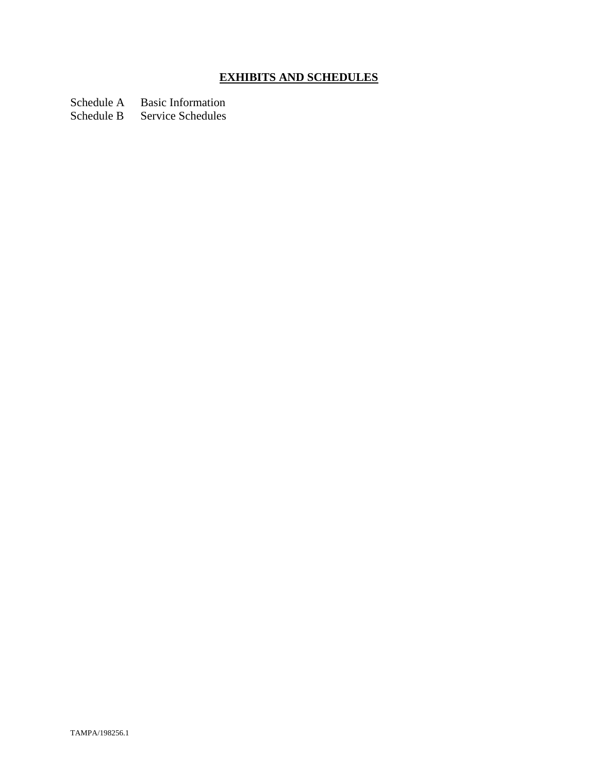# **EXHIBITS AND SCHEDULES**

Schedule A Basic Information

Schedule B Service Schedules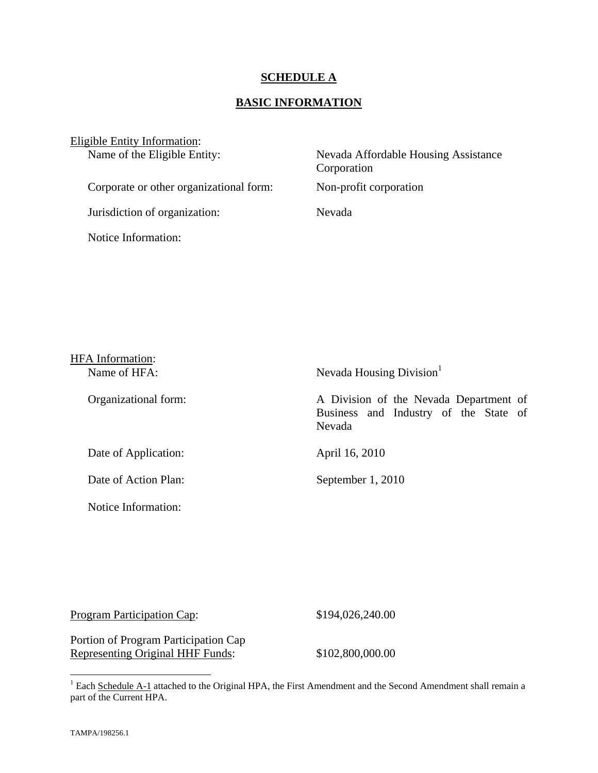#### **SCHEDULE A**

## **BASIC INFORMATION**

| Eligible Entity Information:            |                                                     |
|-----------------------------------------|-----------------------------------------------------|
| Name of the Eligible Entity:            | Nevada Affordable Housing Assistance<br>Corporation |
| Corporate or other organizational form: | Non-profit corporation                              |
| Jurisdiction of organization:           | Nevada                                              |
| Notice Information:                     |                                                     |

| <b>HFA</b> Information: |                                                                                           |
|-------------------------|-------------------------------------------------------------------------------------------|
| Name of HFA:            | Nevada Housing Division <sup>1</sup>                                                      |
| Organizational form:    | A Division of the Nevada Department of<br>Business and Industry of the State of<br>Nevada |
| Date of Application:    | April 16, 2010                                                                            |
| Date of Action Plan:    | September 1, 2010                                                                         |
| Notice Information:     |                                                                                           |

| Program Participation Cap: | \$194,026,240.00 |
|----------------------------|------------------|
|                            |                  |

Portion of Program Participation Cap Representing Original HHF Funds: \$102,800,000.00

<sup>&</sup>lt;sup>1</sup> Each Schedule A-1 attached to the Original HPA, the First Amendment and the Second Amendment shall remain a part of the Current HPA.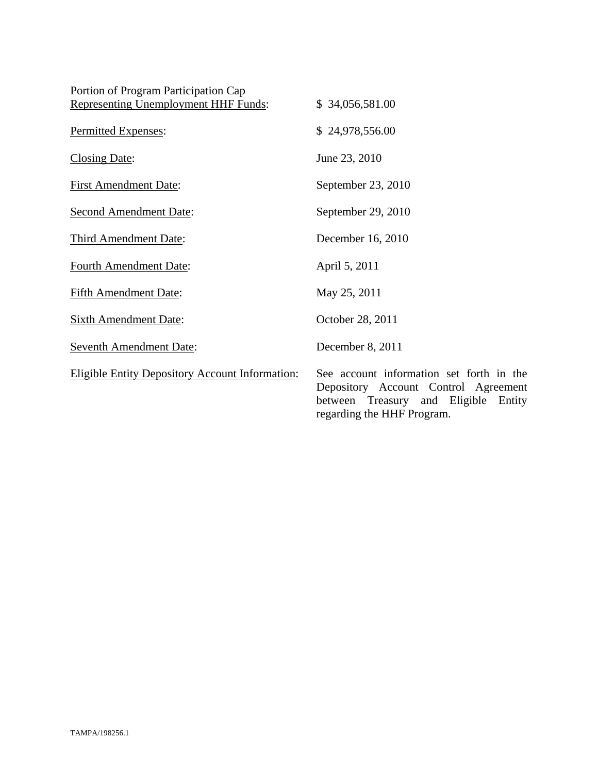| Portion of Program Participation Cap                   |                                                                             |
|--------------------------------------------------------|-----------------------------------------------------------------------------|
| <b>Representing Unemployment HHF Funds:</b>            | \$34,056,581.00                                                             |
| Permitted Expenses:                                    | \$24,978,556.00                                                             |
| <b>Closing Date:</b>                                   | June 23, 2010                                                               |
| <b>First Amendment Date:</b>                           | September 23, 2010                                                          |
| <b>Second Amendment Date:</b>                          | September 29, 2010                                                          |
| <b>Third Amendment Date:</b>                           | December 16, 2010                                                           |
| <b>Fourth Amendment Date:</b>                          | April 5, 2011                                                               |
| <b>Fifth Amendment Date:</b>                           | May 25, 2011                                                                |
| <b>Sixth Amendment Date:</b>                           | October 28, 2011                                                            |
| <b>Seventh Amendment Date:</b>                         | December 8, 2011                                                            |
| <b>Eligible Entity Depository Account Information:</b> | See account informatio<br>Depository Account (<br>Treasury<br>between<br>an |

on set forth in the Depository Account Control Agreement between Treasury and Eligible Entity regarding the HHF Program.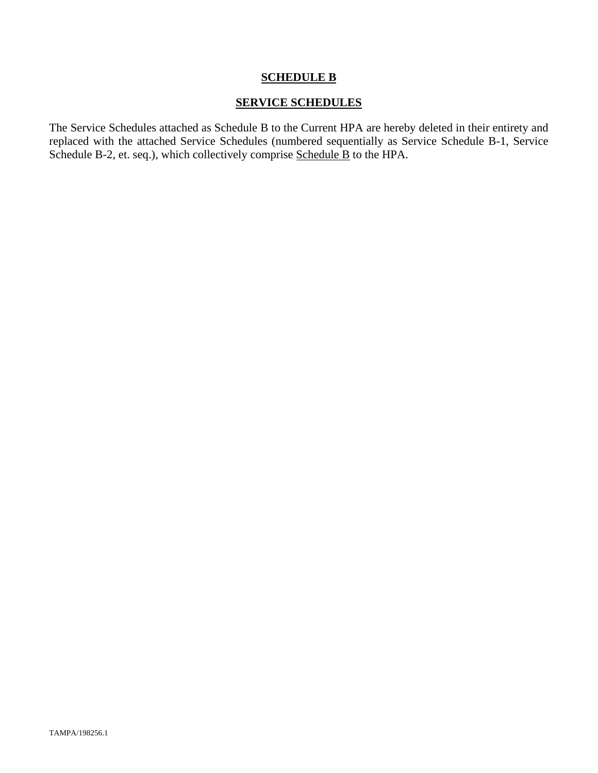#### **SCHEDULE B**

#### **SERVICE SCHEDULES**

The Service Schedules attached as Schedule B to the Current HPA are hereby deleted in their entirety and replaced with the attached Service Schedules (numbered sequentially as Service Schedule B-1, Service Schedule B-2, et. seq.), which collectively comprise Schedule B to the HPA.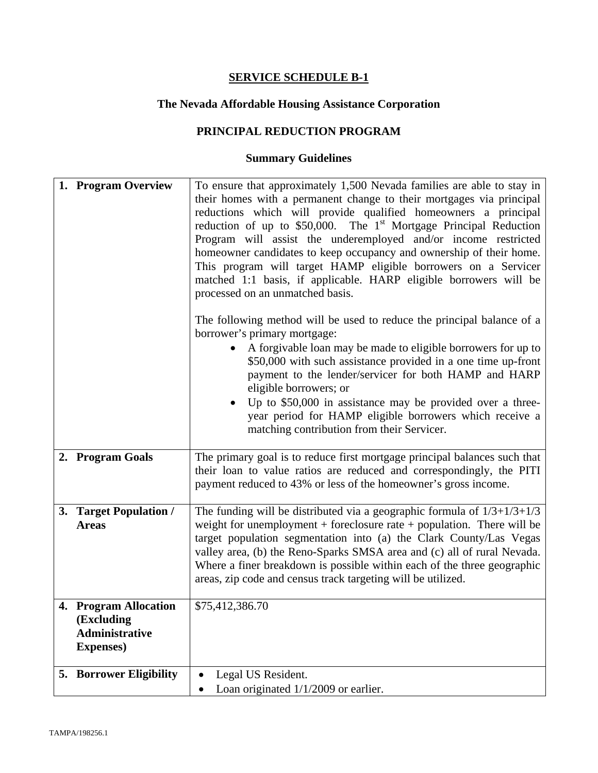# **The Nevada Affordable Housing Assistance Corporation**

## **PRINCIPAL REDUCTION PROGRAM**

| 1. Program Overview                                                               | To ensure that approximately 1,500 Nevada families are able to stay in<br>their homes with a permanent change to their mortgages via principal<br>reductions which will provide qualified homeowners a principal<br>reduction of up to $$50,000$ . The 1 <sup>st</sup> Mortgage Principal Reduction<br>Program will assist the underemployed and/or income restricted<br>homeowner candidates to keep occupancy and ownership of their home.<br>This program will target HAMP eligible borrowers on a Servicer<br>matched 1:1 basis, if applicable. HARP eligible borrowers will be<br>processed on an unmatched basis.<br>The following method will be used to reduce the principal balance of a<br>borrower's primary mortgage:<br>A forgivable loan may be made to eligible borrowers for up to |
|-----------------------------------------------------------------------------------|----------------------------------------------------------------------------------------------------------------------------------------------------------------------------------------------------------------------------------------------------------------------------------------------------------------------------------------------------------------------------------------------------------------------------------------------------------------------------------------------------------------------------------------------------------------------------------------------------------------------------------------------------------------------------------------------------------------------------------------------------------------------------------------------------|
|                                                                                   | \$50,000 with such assistance provided in a one time up-front<br>payment to the lender/servicer for both HAMP and HARP<br>eligible borrowers; or<br>Up to \$50,000 in assistance may be provided over a three-<br>year period for HAMP eligible borrowers which receive a<br>matching contribution from their Servicer.                                                                                                                                                                                                                                                                                                                                                                                                                                                                            |
| 2. Program Goals                                                                  | The primary goal is to reduce first mortgage principal balances such that<br>their loan to value ratios are reduced and correspondingly, the PITI<br>payment reduced to 43% or less of the homeowner's gross income.                                                                                                                                                                                                                                                                                                                                                                                                                                                                                                                                                                               |
| 3. Target Population /<br><b>Areas</b>                                            | The funding will be distributed via a geographic formula of $1/3+1/3+1/3$<br>weight for unemployment + foreclosure rate + population. There will be<br>target population segmentation into (a) the Clark County/Las Vegas<br>valley area, (b) the Reno-Sparks SMSA area and (c) all of rural Nevada.<br>Where a finer breakdown is possible within each of the three geographic<br>areas, zip code and census track targeting will be utilized.                                                                                                                                                                                                                                                                                                                                                    |
| 4. Program Allocation<br>(Excluding<br><b>Administrative</b><br><b>Expenses</b> ) | \$75,412,386.70                                                                                                                                                                                                                                                                                                                                                                                                                                                                                                                                                                                                                                                                                                                                                                                    |
| <b>5. Borrower Eligibility</b>                                                    | Legal US Resident.<br>$\bullet$<br>Loan originated 1/1/2009 or earlier.<br>$\bullet$                                                                                                                                                                                                                                                                                                                                                                                                                                                                                                                                                                                                                                                                                                               |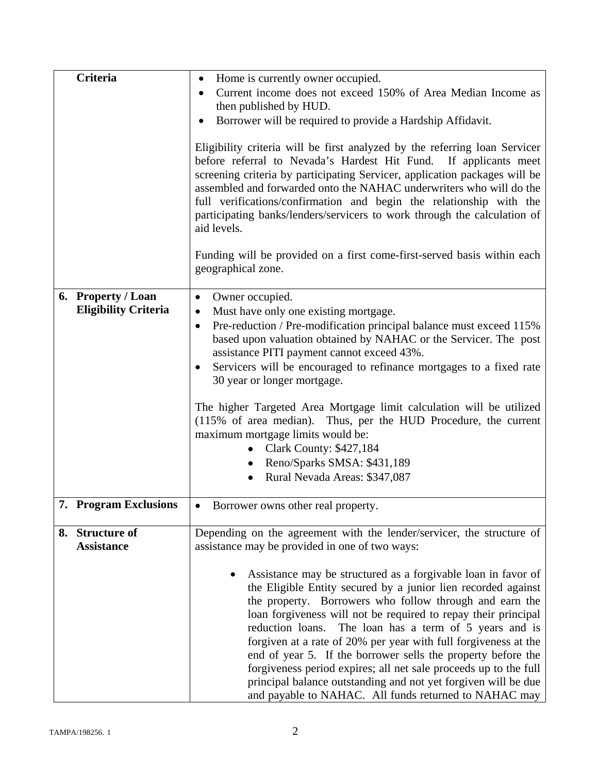| <b>Criteria</b>                      | Home is currently owner occupied.<br>$\bullet$                                                                                                                                                                                                                                                                                                                                                                                                                                                                                                                                                                                                          |
|--------------------------------------|---------------------------------------------------------------------------------------------------------------------------------------------------------------------------------------------------------------------------------------------------------------------------------------------------------------------------------------------------------------------------------------------------------------------------------------------------------------------------------------------------------------------------------------------------------------------------------------------------------------------------------------------------------|
|                                      | Current income does not exceed 150% of Area Median Income as<br>$\bullet$                                                                                                                                                                                                                                                                                                                                                                                                                                                                                                                                                                               |
|                                      | then published by HUD.                                                                                                                                                                                                                                                                                                                                                                                                                                                                                                                                                                                                                                  |
|                                      | Borrower will be required to provide a Hardship Affidavit.                                                                                                                                                                                                                                                                                                                                                                                                                                                                                                                                                                                              |
|                                      |                                                                                                                                                                                                                                                                                                                                                                                                                                                                                                                                                                                                                                                         |
|                                      | Eligibility criteria will be first analyzed by the referring loan Servicer<br>before referral to Nevada's Hardest Hit Fund. If applicants meet<br>screening criteria by participating Servicer, application packages will be<br>assembled and forwarded onto the NAHAC underwriters who will do the<br>full verifications/confirmation and begin the relationship with the<br>participating banks/lenders/servicers to work through the calculation of<br>aid levels.                                                                                                                                                                                   |
|                                      | Funding will be provided on a first come-first-served basis within each<br>geographical zone.                                                                                                                                                                                                                                                                                                                                                                                                                                                                                                                                                           |
| 6. Property / Loan                   | Owner occupied.<br>٠                                                                                                                                                                                                                                                                                                                                                                                                                                                                                                                                                                                                                                    |
| <b>Eligibility Criteria</b>          | Must have only one existing mortgage.<br>$\bullet$                                                                                                                                                                                                                                                                                                                                                                                                                                                                                                                                                                                                      |
|                                      | Pre-reduction / Pre-modification principal balance must exceed 115%<br>$\bullet$                                                                                                                                                                                                                                                                                                                                                                                                                                                                                                                                                                        |
|                                      | based upon valuation obtained by NAHAC or the Servicer. The post                                                                                                                                                                                                                                                                                                                                                                                                                                                                                                                                                                                        |
|                                      | assistance PITI payment cannot exceed 43%.                                                                                                                                                                                                                                                                                                                                                                                                                                                                                                                                                                                                              |
|                                      | Servicers will be encouraged to refinance mortgages to a fixed rate                                                                                                                                                                                                                                                                                                                                                                                                                                                                                                                                                                                     |
|                                      | 30 year or longer mortgage.                                                                                                                                                                                                                                                                                                                                                                                                                                                                                                                                                                                                                             |
|                                      | The higher Targeted Area Mortgage limit calculation will be utilized<br>(115% of area median). Thus, per the HUD Procedure, the current                                                                                                                                                                                                                                                                                                                                                                                                                                                                                                                 |
|                                      | maximum mortgage limits would be:                                                                                                                                                                                                                                                                                                                                                                                                                                                                                                                                                                                                                       |
|                                      | Clark County: \$427,184                                                                                                                                                                                                                                                                                                                                                                                                                                                                                                                                                                                                                                 |
|                                      | Reno/Sparks SMSA: \$431,189                                                                                                                                                                                                                                                                                                                                                                                                                                                                                                                                                                                                                             |
|                                      | Rural Nevada Areas: \$347,087                                                                                                                                                                                                                                                                                                                                                                                                                                                                                                                                                                                                                           |
|                                      |                                                                                                                                                                                                                                                                                                                                                                                                                                                                                                                                                                                                                                                         |
| 7.<br><b>Program Exclusions</b>      | Borrower owns other real property.                                                                                                                                                                                                                                                                                                                                                                                                                                                                                                                                                                                                                      |
| 8. Structure of<br><b>Assistance</b> | Depending on the agreement with the lender/servicer, the structure of<br>assistance may be provided in one of two ways:                                                                                                                                                                                                                                                                                                                                                                                                                                                                                                                                 |
|                                      | Assistance may be structured as a forgivable loan in favor of<br>the Eligible Entity secured by a junior lien recorded against<br>the property. Borrowers who follow through and earn the<br>loan forgiveness will not be required to repay their principal<br>reduction loans. The loan has a term of 5 years and is<br>forgiven at a rate of 20% per year with full forgiveness at the<br>end of year 5. If the borrower sells the property before the<br>forgiveness period expires; all net sale proceeds up to the full<br>principal balance outstanding and not yet forgiven will be due<br>and payable to NAHAC. All funds returned to NAHAC may |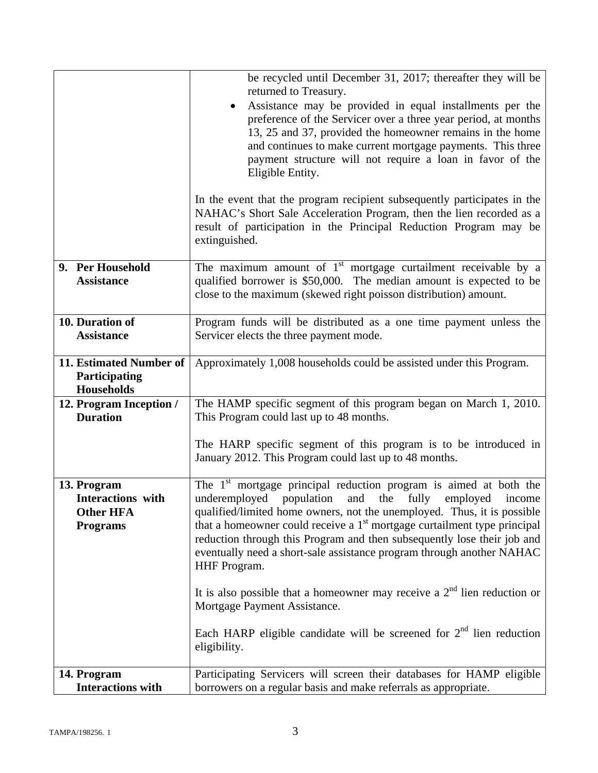| In the event that the program recipient subsequently participates in the<br>NAHAC's Short Sale Acceleration Program, then the lien recorded as a<br>result of participation in the Principal Reduction Program may be<br>extinguished.<br>The maximum amount of $1st$ mortgage curtailment receivable by a<br>9. Per Household<br>qualified borrower is \$50,000. The median amount is expected to be<br><b>Assistance</b><br>close to the maximum (skewed right poisson distribution) amount.<br>10. Duration of<br>Program funds will be distributed as a one time payment unless the<br><b>Assistance</b><br>Servicer elects the three payment mode.<br>11. Estimated Number of<br>Approximately 1,008 households could be assisted under this Program.<br>Participating<br><b>Households</b><br>The HAMP specific segment of this program began on March 1, 2010.<br>12. Program Inception /<br><b>Duration</b><br>This Program could last up to 48 months.<br>The HARP specific segment of this program is to be introduced in<br>January 2012. This Program could last up to 48 months.<br>The $1st$ mortgage principal reduction program is aimed at both the<br>13. Program<br>underemployed<br><b>Interactions</b> with<br>population<br>and<br>the<br>fully<br>employed<br>income<br><b>Other HFA</b><br>qualified/limited home owners, not the unemployed. Thus, it is possible<br>that a homeowner could receive a $1st$ mortgage curtailment type principal<br><b>Programs</b><br>reduction through this Program and then subsequently lose their job and<br>eventually need a short-sale assistance program through another NAHAC<br>HHF Program.<br>It is also possible that a homeowner may receive a $2nd$ lien reduction or<br>Mortgage Payment Assistance.<br>Each HARP eligible candidate will be screened for $2nd$ lien reduction<br>eligibility. |             | be recycled until December 31, 2017; thereafter they will be<br>returned to Treasury.<br>Assistance may be provided in equal installments per the<br>preference of the Servicer over a three year period, at months<br>13, 25 and 37, provided the homeowner remains in the home<br>and continues to make current mortgage payments. This three<br>payment structure will not require a loan in favor of the<br>Eligible Entity. |
|-------------------------------------------------------------------------------------------------------------------------------------------------------------------------------------------------------------------------------------------------------------------------------------------------------------------------------------------------------------------------------------------------------------------------------------------------------------------------------------------------------------------------------------------------------------------------------------------------------------------------------------------------------------------------------------------------------------------------------------------------------------------------------------------------------------------------------------------------------------------------------------------------------------------------------------------------------------------------------------------------------------------------------------------------------------------------------------------------------------------------------------------------------------------------------------------------------------------------------------------------------------------------------------------------------------------------------------------------------------------------------------------------------------------------------------------------------------------------------------------------------------------------------------------------------------------------------------------------------------------------------------------------------------------------------------------------------------------------------------------------------------------------------------------------------------------------------------------------------------------------|-------------|----------------------------------------------------------------------------------------------------------------------------------------------------------------------------------------------------------------------------------------------------------------------------------------------------------------------------------------------------------------------------------------------------------------------------------|
|                                                                                                                                                                                                                                                                                                                                                                                                                                                                                                                                                                                                                                                                                                                                                                                                                                                                                                                                                                                                                                                                                                                                                                                                                                                                                                                                                                                                                                                                                                                                                                                                                                                                                                                                                                                                                                                                         |             |                                                                                                                                                                                                                                                                                                                                                                                                                                  |
|                                                                                                                                                                                                                                                                                                                                                                                                                                                                                                                                                                                                                                                                                                                                                                                                                                                                                                                                                                                                                                                                                                                                                                                                                                                                                                                                                                                                                                                                                                                                                                                                                                                                                                                                                                                                                                                                         |             |                                                                                                                                                                                                                                                                                                                                                                                                                                  |
|                                                                                                                                                                                                                                                                                                                                                                                                                                                                                                                                                                                                                                                                                                                                                                                                                                                                                                                                                                                                                                                                                                                                                                                                                                                                                                                                                                                                                                                                                                                                                                                                                                                                                                                                                                                                                                                                         |             |                                                                                                                                                                                                                                                                                                                                                                                                                                  |
|                                                                                                                                                                                                                                                                                                                                                                                                                                                                                                                                                                                                                                                                                                                                                                                                                                                                                                                                                                                                                                                                                                                                                                                                                                                                                                                                                                                                                                                                                                                                                                                                                                                                                                                                                                                                                                                                         |             |                                                                                                                                                                                                                                                                                                                                                                                                                                  |
|                                                                                                                                                                                                                                                                                                                                                                                                                                                                                                                                                                                                                                                                                                                                                                                                                                                                                                                                                                                                                                                                                                                                                                                                                                                                                                                                                                                                                                                                                                                                                                                                                                                                                                                                                                                                                                                                         |             |                                                                                                                                                                                                                                                                                                                                                                                                                                  |
|                                                                                                                                                                                                                                                                                                                                                                                                                                                                                                                                                                                                                                                                                                                                                                                                                                                                                                                                                                                                                                                                                                                                                                                                                                                                                                                                                                                                                                                                                                                                                                                                                                                                                                                                                                                                                                                                         |             |                                                                                                                                                                                                                                                                                                                                                                                                                                  |
|                                                                                                                                                                                                                                                                                                                                                                                                                                                                                                                                                                                                                                                                                                                                                                                                                                                                                                                                                                                                                                                                                                                                                                                                                                                                                                                                                                                                                                                                                                                                                                                                                                                                                                                                                                                                                                                                         |             |                                                                                                                                                                                                                                                                                                                                                                                                                                  |
|                                                                                                                                                                                                                                                                                                                                                                                                                                                                                                                                                                                                                                                                                                                                                                                                                                                                                                                                                                                                                                                                                                                                                                                                                                                                                                                                                                                                                                                                                                                                                                                                                                                                                                                                                                                                                                                                         |             |                                                                                                                                                                                                                                                                                                                                                                                                                                  |
|                                                                                                                                                                                                                                                                                                                                                                                                                                                                                                                                                                                                                                                                                                                                                                                                                                                                                                                                                                                                                                                                                                                                                                                                                                                                                                                                                                                                                                                                                                                                                                                                                                                                                                                                                                                                                                                                         |             |                                                                                                                                                                                                                                                                                                                                                                                                                                  |
| <b>Interactions with</b><br>borrowers on a regular basis and make referrals as appropriate.                                                                                                                                                                                                                                                                                                                                                                                                                                                                                                                                                                                                                                                                                                                                                                                                                                                                                                                                                                                                                                                                                                                                                                                                                                                                                                                                                                                                                                                                                                                                                                                                                                                                                                                                                                             | 14. Program | Participating Servicers will screen their databases for HAMP eligible                                                                                                                                                                                                                                                                                                                                                            |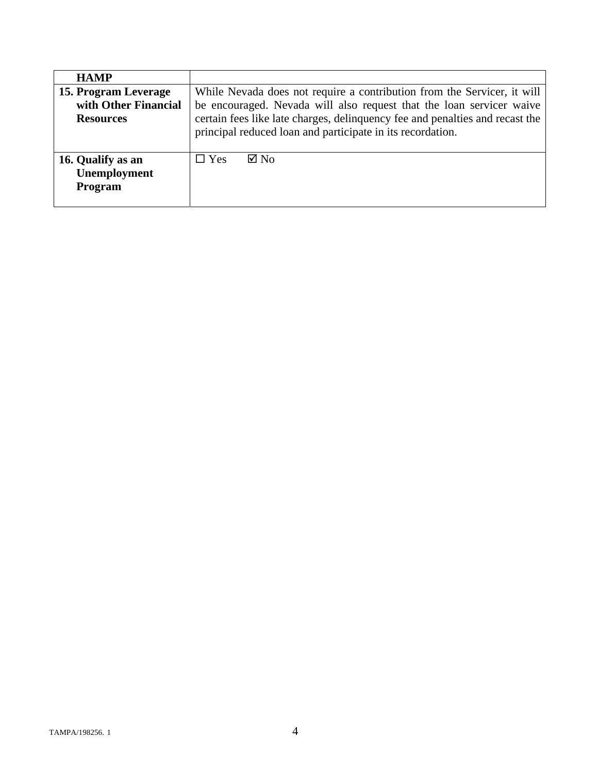| <b>HAMP</b>          |                                                                              |  |
|----------------------|------------------------------------------------------------------------------|--|
| 15. Program Leverage | While Nevada does not require a contribution from the Servicer, it will      |  |
| with Other Financial | be encouraged. Nevada will also request that the loan servicer waive         |  |
| <b>Resources</b>     | certain fees like late charges, delinquency fee and penalties and recast the |  |
|                      | principal reduced loan and participate in its recordation.                   |  |
|                      |                                                                              |  |
| 16. Qualify as an    | $\boxtimes$ No<br>$\Box$ Yes                                                 |  |
| Unemployment         |                                                                              |  |
| <b>Program</b>       |                                                                              |  |
|                      |                                                                              |  |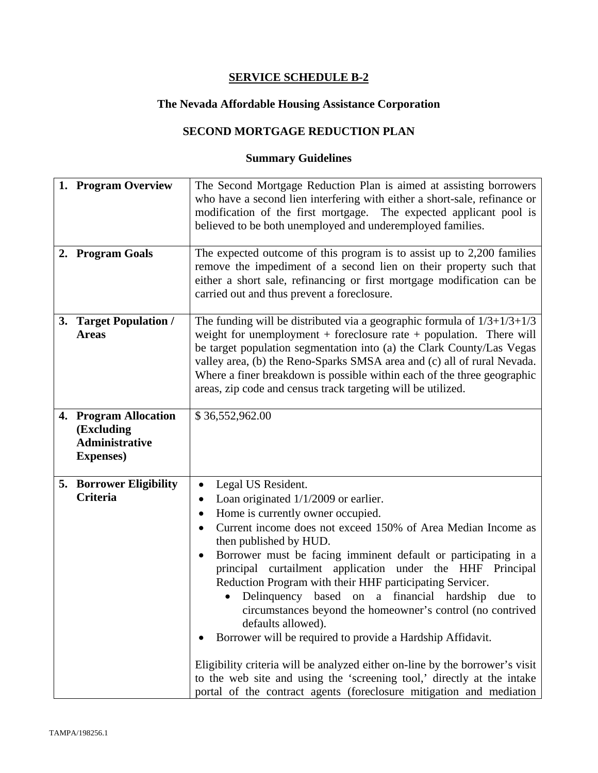## **The Nevada Affordable Housing Assistance Corporation**

## **SECOND MORTGAGE REDUCTION PLAN**

| 1. Program Overview                                                               | The Second Mortgage Reduction Plan is aimed at assisting borrowers<br>who have a second lien interfering with either a short-sale, refinance or<br>modification of the first mortgage. The expected applicant pool is<br>believed to be both unemployed and underemployed families.                                                                                                                                                                                                                                                                                                                                                                                                                                                                                                                                                                          |
|-----------------------------------------------------------------------------------|--------------------------------------------------------------------------------------------------------------------------------------------------------------------------------------------------------------------------------------------------------------------------------------------------------------------------------------------------------------------------------------------------------------------------------------------------------------------------------------------------------------------------------------------------------------------------------------------------------------------------------------------------------------------------------------------------------------------------------------------------------------------------------------------------------------------------------------------------------------|
| 2. Program Goals                                                                  | The expected outcome of this program is to assist up to 2,200 families<br>remove the impediment of a second lien on their property such that<br>either a short sale, refinancing or first mortgage modification can be<br>carried out and thus prevent a foreclosure.                                                                                                                                                                                                                                                                                                                                                                                                                                                                                                                                                                                        |
| 3. Target Population /<br><b>Areas</b>                                            | The funding will be distributed via a geographic formula of $1/3+1/3+1/3$<br>weight for unemployment + foreclosure rate + population. There will<br>be target population segmentation into (a) the Clark County/Las Vegas<br>valley area, (b) the Reno-Sparks SMSA area and (c) all of rural Nevada.<br>Where a finer breakdown is possible within each of the three geographic<br>areas, zip code and census track targeting will be utilized.                                                                                                                                                                                                                                                                                                                                                                                                              |
| 4. Program Allocation<br>(Excluding<br><b>Administrative</b><br><b>Expenses</b> ) | \$36,552,962.00                                                                                                                                                                                                                                                                                                                                                                                                                                                                                                                                                                                                                                                                                                                                                                                                                                              |
| <b>5. Borrower Eligibility</b><br><b>Criteria</b>                                 | Legal US Resident.<br>$\bullet$<br>Loan originated $1/1/2009$ or earlier.<br>Home is currently owner occupied.<br>٠<br>Current income does not exceed 150% of Area Median Income as<br>then published by HUD.<br>Borrower must be facing imminent default or participating in a<br>$\bullet$<br>principal curtailment application under the HHF Principal<br>Reduction Program with their HHF participating Servicer.<br>Delinquency based on a financial hardship due to<br>circumstances beyond the homeowner's control (no contrived<br>defaults allowed).<br>Borrower will be required to provide a Hardship Affidavit.<br>Eligibility criteria will be analyzed either on-line by the borrower's visit<br>to the web site and using the 'screening tool,' directly at the intake<br>portal of the contract agents (foreclosure mitigation and mediation |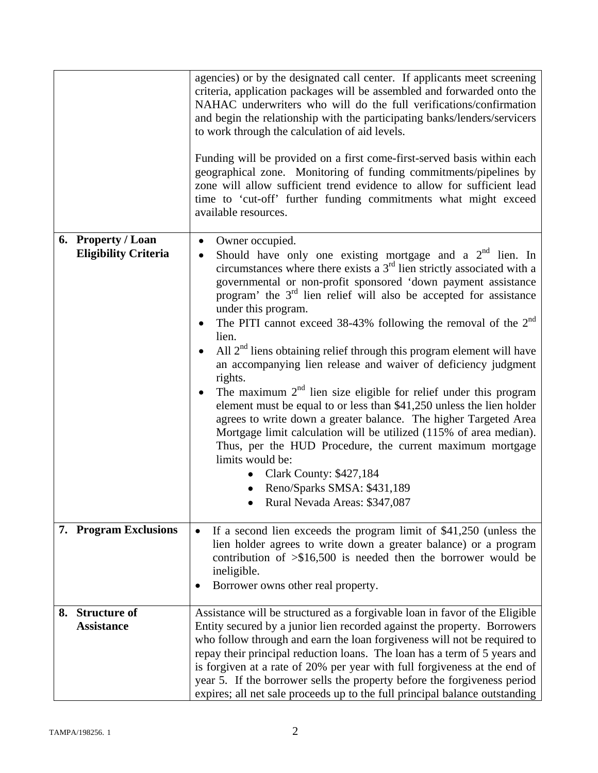|                                                   | agencies) or by the designated call center. If applicants meet screening<br>criteria, application packages will be assembled and forwarded onto the<br>NAHAC underwriters who will do the full verifications/confirmation<br>and begin the relationship with the participating banks/lenders/servicers<br>to work through the calculation of aid levels.<br>Funding will be provided on a first come-first-served basis within each<br>geographical zone. Monitoring of funding commitments/pipelines by<br>zone will allow sufficient trend evidence to allow for sufficient lead<br>time to 'cut-off' further funding commitments what might exceed<br>available resources.                                                                                                                                                                                                                                                                                                                                                                                                   |
|---------------------------------------------------|---------------------------------------------------------------------------------------------------------------------------------------------------------------------------------------------------------------------------------------------------------------------------------------------------------------------------------------------------------------------------------------------------------------------------------------------------------------------------------------------------------------------------------------------------------------------------------------------------------------------------------------------------------------------------------------------------------------------------------------------------------------------------------------------------------------------------------------------------------------------------------------------------------------------------------------------------------------------------------------------------------------------------------------------------------------------------------|
| 6. Property / Loan<br><b>Eligibility Criteria</b> | Owner occupied.<br>$\bullet$<br>Should have only one existing mortgage and a $2nd$ lien. In<br>$\bullet$<br>circumstances where there exists a $3rd$ lien strictly associated with a<br>governmental or non-profit sponsored 'down payment assistance<br>program' the $3rd$ lien relief will also be accepted for assistance<br>under this program.<br>The PITI cannot exceed $38-43\%$ following the removal of the $2nd$<br>lien.<br>All $2nd$ liens obtaining relief through this program element will have<br>an accompanying lien release and waiver of deficiency judgment<br>rights.<br>The maximum $2nd$ lien size eligible for relief under this program<br>element must be equal to or less than \$41,250 unless the lien holder<br>agrees to write down a greater balance. The higher Targeted Area<br>Mortgage limit calculation will be utilized (115% of area median).<br>Thus, per the HUD Procedure, the current maximum mortgage<br>limits would be:<br>Clark County: \$427,184<br>$\bullet$<br>Reno/Sparks SMSA: \$431,189<br>• Rural Nevada Areas: \$347,087 |
| 7. Program Exclusions                             | If a second lien exceeds the program limit of \$41,250 (unless the<br>$\bullet$<br>lien holder agrees to write down a greater balance) or a program<br>contribution of $\geq$ \$16,500 is needed then the borrower would be<br>ineligible.<br>Borrower owns other real property.                                                                                                                                                                                                                                                                                                                                                                                                                                                                                                                                                                                                                                                                                                                                                                                                |
| 8. Structure of<br><b>Assistance</b>              | Assistance will be structured as a forgivable loan in favor of the Eligible<br>Entity secured by a junior lien recorded against the property. Borrowers<br>who follow through and earn the loan forgiveness will not be required to<br>repay their principal reduction loans. The loan has a term of 5 years and<br>is forgiven at a rate of 20% per year with full forgiveness at the end of<br>year 5. If the borrower sells the property before the forgiveness period<br>expires; all net sale proceeds up to the full principal balance outstanding                                                                                                                                                                                                                                                                                                                                                                                                                                                                                                                        |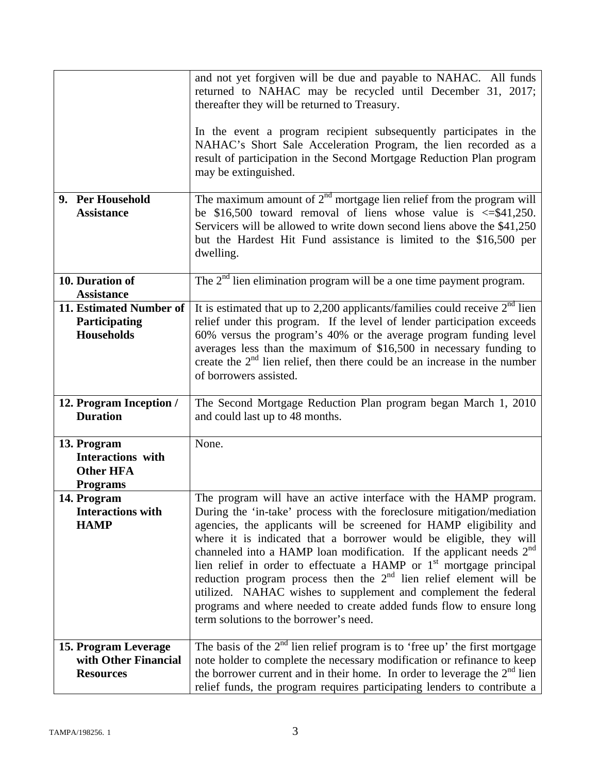|                                                                                | and not yet forgiven will be due and payable to NAHAC. All funds<br>returned to NAHAC may be recycled until December 31, 2017;<br>thereafter they will be returned to Treasury.<br>In the event a program recipient subsequently participates in the<br>NAHAC's Short Sale Acceleration Program, the lien recorded as a<br>result of participation in the Second Mortgage Reduction Plan program<br>may be extinguished.                                                                                                                                                                                                                                                                                                 |
|--------------------------------------------------------------------------------|--------------------------------------------------------------------------------------------------------------------------------------------------------------------------------------------------------------------------------------------------------------------------------------------------------------------------------------------------------------------------------------------------------------------------------------------------------------------------------------------------------------------------------------------------------------------------------------------------------------------------------------------------------------------------------------------------------------------------|
| 9. Per Household<br><b>Assistance</b>                                          | The maximum amount of $2^{\overline{nd}}$ mortgage lien relief from the program will<br>be \$16,500 toward removal of liens whose value is $\leq$ \$41,250.<br>Servicers will be allowed to write down second liens above the \$41,250<br>but the Hardest Hit Fund assistance is limited to the \$16,500 per<br>dwelling.                                                                                                                                                                                                                                                                                                                                                                                                |
| 10. Duration of<br><b>Assistance</b>                                           | The $2nd$ lien elimination program will be a one time payment program.                                                                                                                                                                                                                                                                                                                                                                                                                                                                                                                                                                                                                                                   |
| 11. Estimated Number of<br>Participating<br><b>Households</b>                  | It is estimated that up to 2,200 applicants/families could receive $2nd$ lien<br>relief under this program. If the level of lender participation exceeds<br>60% versus the program's 40% or the average program funding level<br>averages less than the maximum of \$16,500 in necessary funding to<br>create the $2nd$ lien relief, then there could be an increase in the number<br>of borrowers assisted.                                                                                                                                                                                                                                                                                                             |
| 12. Program Inception /<br><b>Duration</b>                                     | The Second Mortgage Reduction Plan program began March 1, 2010<br>and could last up to 48 months.                                                                                                                                                                                                                                                                                                                                                                                                                                                                                                                                                                                                                        |
| 13. Program<br><b>Interactions</b> with<br><b>Other HFA</b><br><b>Programs</b> | None.                                                                                                                                                                                                                                                                                                                                                                                                                                                                                                                                                                                                                                                                                                                    |
| 14. Program<br><b>Interactions with</b><br><b>HAMP</b>                         | The program will have an active interface with the HAMP program.<br>During the 'in-take' process with the foreclosure mitigation/mediation<br>agencies, the applicants will be screened for HAMP eligibility and<br>where it is indicated that a borrower would be eligible, they will<br>channeled into a HAMP loan modification. If the applicant needs 2 <sup>nd</sup><br>lien relief in order to effectuate a HAMP or 1 <sup>st</sup> mortgage principal<br>reduction program process then the $2nd$ lien relief element will be<br>utilized. NAHAC wishes to supplement and complement the federal<br>programs and where needed to create added funds flow to ensure long<br>term solutions to the borrower's need. |
| 15. Program Leverage<br>with Other Financial<br><b>Resources</b>               | The basis of the $2nd$ lien relief program is to 'free up' the first mortgage<br>note holder to complete the necessary modification or refinance to keep<br>the borrower current and in their home. In order to leverage the $2nd$ lien<br>relief funds, the program requires participating lenders to contribute a                                                                                                                                                                                                                                                                                                                                                                                                      |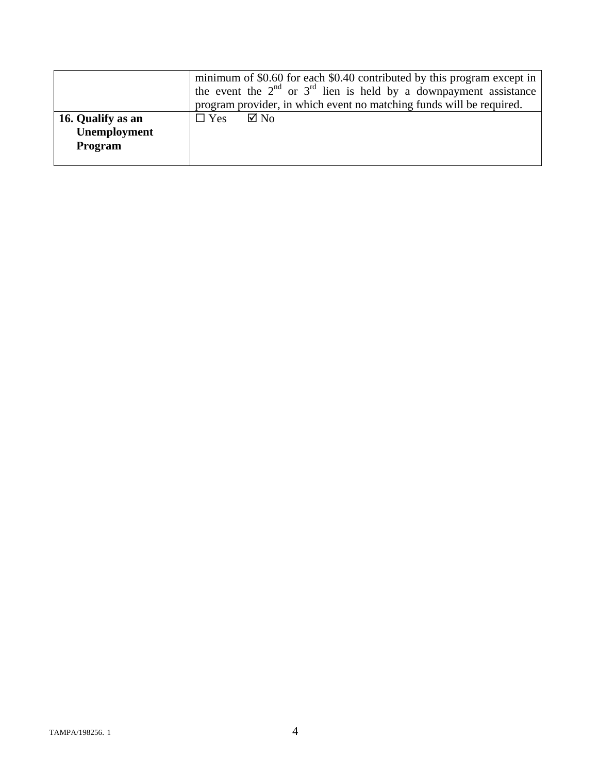|                                                     | minimum of \$0.60 for each \$0.40 contributed by this program except in<br>the event the $2^{nd}$ or $3^{rd}$ lien is held by a downpayment assistance<br>program provider, in which event no matching funds will be required. |
|-----------------------------------------------------|--------------------------------------------------------------------------------------------------------------------------------------------------------------------------------------------------------------------------------|
| 16. Qualify as an<br>Unemployment<br><b>Program</b> | $\boxtimes$ No<br>$\Box$ Yes                                                                                                                                                                                                   |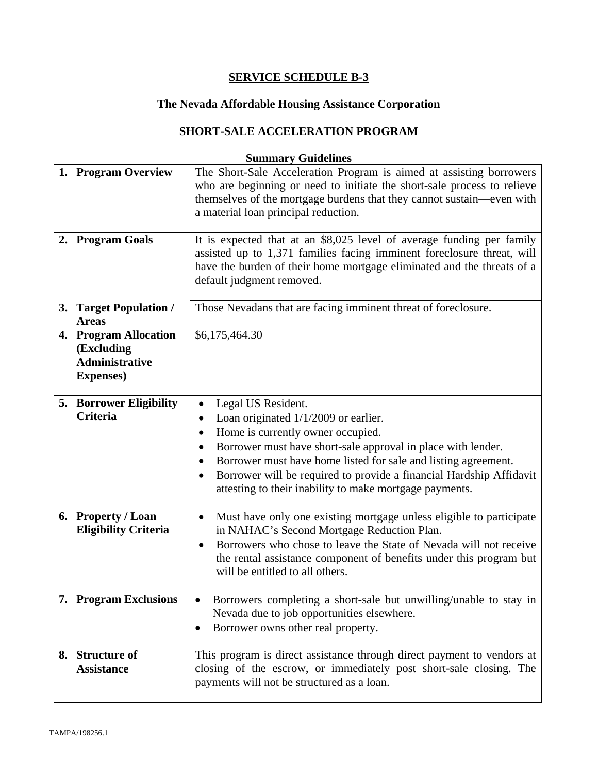# **The Nevada Affordable Housing Assistance Corporation**

## **SHORT-SALE ACCELERATION PROGRAM**

| 1. Program Overview<br>2. Program Goals                                           | The Short-Sale Acceleration Program is aimed at assisting borrowers<br>who are beginning or need to initiate the short-sale process to relieve<br>themselves of the mortgage burdens that they cannot sustain—even with<br>a material loan principal reduction.<br>It is expected that at an \$8,025 level of average funding per family<br>assisted up to 1,371 families facing imminent foreclosure threat, will<br>have the burden of their home mortgage eliminated and the threats of a<br>default judgment removed. |
|-----------------------------------------------------------------------------------|---------------------------------------------------------------------------------------------------------------------------------------------------------------------------------------------------------------------------------------------------------------------------------------------------------------------------------------------------------------------------------------------------------------------------------------------------------------------------------------------------------------------------|
| 3. Target Population /<br><b>Areas</b>                                            | Those Nevadans that are facing imminent threat of foreclosure.                                                                                                                                                                                                                                                                                                                                                                                                                                                            |
| 4. Program Allocation<br>(Excluding<br><b>Administrative</b><br><b>Expenses</b> ) | \$6,175,464.30                                                                                                                                                                                                                                                                                                                                                                                                                                                                                                            |
| 5. Borrower Eligibility<br><b>Criteria</b>                                        | Legal US Resident.<br>Loan originated 1/1/2009 or earlier.<br>$\bullet$<br>Home is currently owner occupied.<br>$\bullet$<br>Borrower must have short-sale approval in place with lender.<br>٠<br>Borrower must have home listed for sale and listing agreement.<br>Borrower will be required to provide a financial Hardship Affidavit<br>attesting to their inability to make mortgage payments.                                                                                                                        |
| 6. Property / Loan<br><b>Eligibility Criteria</b>                                 | Must have only one existing mortgage unless eligible to participate<br>$\bullet$<br>in NAHAC's Second Mortgage Reduction Plan.<br>Borrowers who chose to leave the State of Nevada will not receive<br>$\bullet$<br>the rental assistance component of benefits under this program but<br>will be entitled to all others.                                                                                                                                                                                                 |
| 7. Program Exclusions                                                             | Borrowers completing a short-sale but unwilling/unable to stay in<br>Nevada due to job opportunities elsewhere.<br>Borrower owns other real property.<br>$\bullet$                                                                                                                                                                                                                                                                                                                                                        |
| 8. Structure of<br><b>Assistance</b>                                              | This program is direct assistance through direct payment to vendors at<br>closing of the escrow, or immediately post short-sale closing. The<br>payments will not be structured as a loan.                                                                                                                                                                                                                                                                                                                                |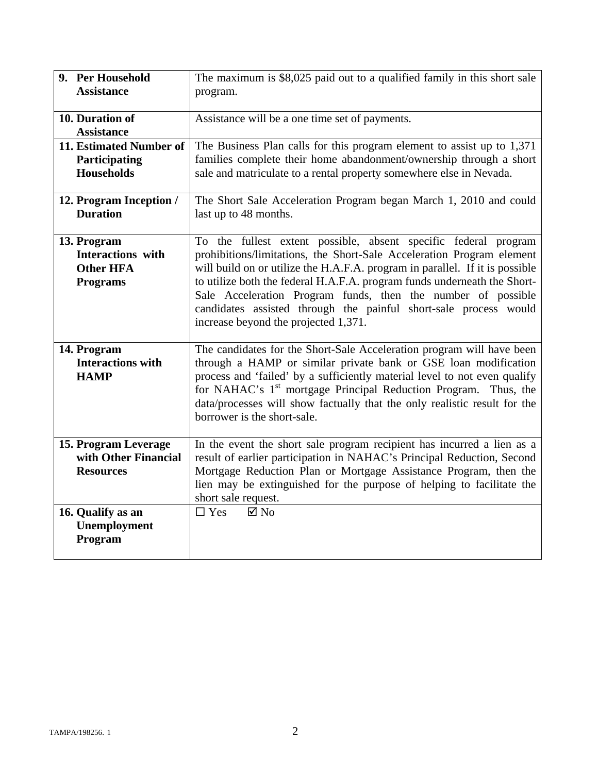| 9. Per Household<br><b>Assistance</b>                                          | The maximum is \$8,025 paid out to a qualified family in this short sale<br>program.                                                                                                                                                                                                                                                                                                                                                                                             |
|--------------------------------------------------------------------------------|----------------------------------------------------------------------------------------------------------------------------------------------------------------------------------------------------------------------------------------------------------------------------------------------------------------------------------------------------------------------------------------------------------------------------------------------------------------------------------|
| 10. Duration of<br><b>Assistance</b>                                           | Assistance will be a one time set of payments.                                                                                                                                                                                                                                                                                                                                                                                                                                   |
| 11. Estimated Number of<br>Participating<br><b>Households</b>                  | The Business Plan calls for this program element to assist up to 1,371<br>families complete their home abandonment/ownership through a short<br>sale and matriculate to a rental property somewhere else in Nevada.                                                                                                                                                                                                                                                              |
| 12. Program Inception /<br><b>Duration</b>                                     | The Short Sale Acceleration Program began March 1, 2010 and could<br>last up to 48 months.                                                                                                                                                                                                                                                                                                                                                                                       |
| 13. Program<br><b>Interactions</b> with<br><b>Other HFA</b><br><b>Programs</b> | To the fullest extent possible, absent specific federal program<br>prohibitions/limitations, the Short-Sale Acceleration Program element<br>will build on or utilize the H.A.F.A. program in parallel. If it is possible<br>to utilize both the federal H.A.F.A. program funds underneath the Short-<br>Sale Acceleration Program funds, then the number of possible<br>candidates assisted through the painful short-sale process would<br>increase beyond the projected 1,371. |
| 14. Program<br><b>Interactions with</b><br><b>HAMP</b>                         | The candidates for the Short-Sale Acceleration program will have been<br>through a HAMP or similar private bank or GSE loan modification<br>process and 'failed' by a sufficiently material level to not even qualify<br>for NAHAC's 1 <sup>st</sup> mortgage Principal Reduction Program. Thus, the<br>data/processes will show factually that the only realistic result for the<br>borrower is the short-sale.                                                                 |
| 15. Program Leverage<br>with Other Financial<br><b>Resources</b>               | In the event the short sale program recipient has incurred a lien as a<br>result of earlier participation in NAHAC's Principal Reduction, Second<br>Mortgage Reduction Plan or Mortgage Assistance Program, then the<br>lien may be extinguished for the purpose of helping to facilitate the<br>short sale request.                                                                                                                                                             |
| 16. Qualify as an<br>Unemployment<br>Program                                   | $\boxtimes$ No<br>$\Box$ Yes                                                                                                                                                                                                                                                                                                                                                                                                                                                     |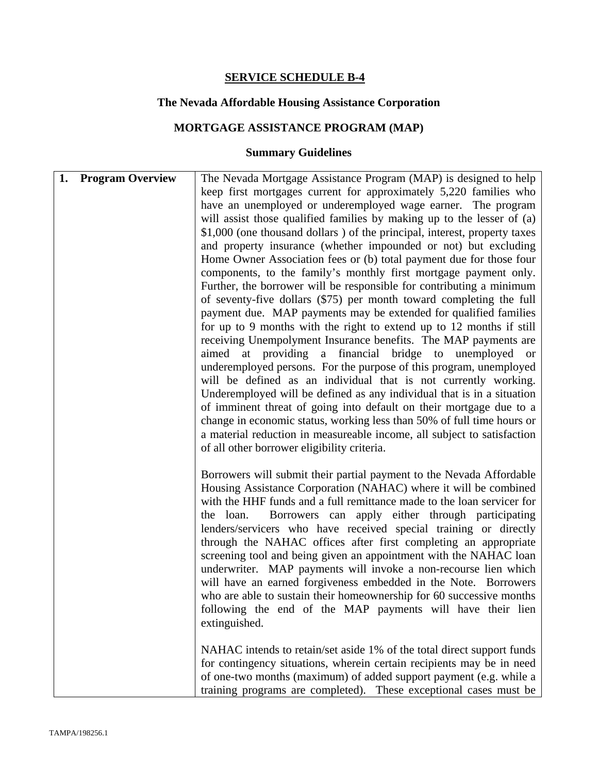### **The Nevada Affordable Housing Assistance Corporation**

## **MORTGAGE ASSISTANCE PROGRAM (MAP)**

| 1.<br><b>Program Overview</b> | The Nevada Mortgage Assistance Program (MAP) is designed to help<br>keep first mortgages current for approximately 5,220 families who<br>have an unemployed or underemployed wage earner. The program                                                                                                                                                                                                                                                                                                                                                                                                                                                                                                                                                                                                                                                                                                                                                                                                                                                                                                                                                         |
|-------------------------------|---------------------------------------------------------------------------------------------------------------------------------------------------------------------------------------------------------------------------------------------------------------------------------------------------------------------------------------------------------------------------------------------------------------------------------------------------------------------------------------------------------------------------------------------------------------------------------------------------------------------------------------------------------------------------------------------------------------------------------------------------------------------------------------------------------------------------------------------------------------------------------------------------------------------------------------------------------------------------------------------------------------------------------------------------------------------------------------------------------------------------------------------------------------|
|                               | will assist those qualified families by making up to the lesser of (a)<br>\$1,000 (one thousand dollars) of the principal, interest, property taxes<br>and property insurance (whether impounded or not) but excluding<br>Home Owner Association fees or (b) total payment due for those four<br>components, to the family's monthly first mortgage payment only.<br>Further, the borrower will be responsible for contributing a minimum<br>of seventy-five dollars (\$75) per month toward completing the full<br>payment due. MAP payments may be extended for qualified families<br>for up to 9 months with the right to extend up to 12 months if still<br>receiving Unempolyment Insurance benefits. The MAP payments are<br>aimed at providing a financial bridge to unemployed or<br>underemployed persons. For the purpose of this program, unemployed<br>will be defined as an individual that is not currently working.<br>Underemployed will be defined as any individual that is in a situation<br>of imminent threat of going into default on their mortgage due to a<br>change in economic status, working less than 50% of full time hours or |
|                               | a material reduction in measureable income, all subject to satisfaction<br>of all other borrower eligibility criteria.<br>Borrowers will submit their partial payment to the Nevada Affordable<br>Housing Assistance Corporation (NAHAC) where it will be combined<br>with the HHF funds and a full remittance made to the loan servicer for<br>Borrowers can apply either through participating<br>the loan.<br>lenders/servicers who have received special training or directly<br>through the NAHAC offices after first completing an appropriate<br>screening tool and being given an appointment with the NAHAC loan<br>underwriter. MAP payments will invoke a non-recourse lien which<br>will have an earned forgiveness embedded in the Note. Borrowers<br>who are able to sustain their homeownership for 60 successive months<br>following the end of the MAP payments will have their lien<br>extinguished.<br>NAHAC intends to retain/set aside 1% of the total direct support funds<br>for contingency situations, wherein certain recipients may be in need<br>of one-two months (maximum) of added support payment (e.g. while a               |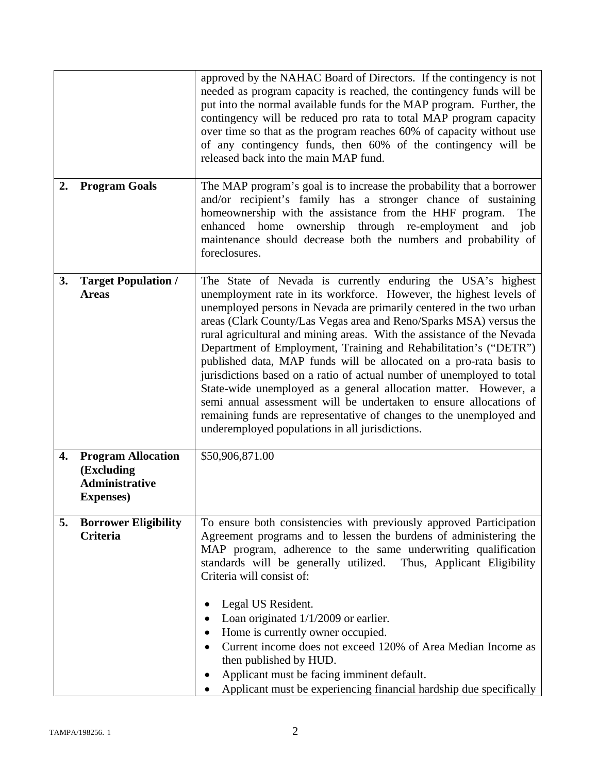|    |                                                                                       | approved by the NAHAC Board of Directors. If the contingency is not<br>needed as program capacity is reached, the contingency funds will be<br>put into the normal available funds for the MAP program. Further, the<br>contingency will be reduced pro rata to total MAP program capacity<br>over time so that as the program reaches 60% of capacity without use<br>of any contingency funds, then 60% of the contingency will be<br>released back into the main MAP fund.                                                                                                                                                                                                                                                                                                                                                                      |
|----|---------------------------------------------------------------------------------------|---------------------------------------------------------------------------------------------------------------------------------------------------------------------------------------------------------------------------------------------------------------------------------------------------------------------------------------------------------------------------------------------------------------------------------------------------------------------------------------------------------------------------------------------------------------------------------------------------------------------------------------------------------------------------------------------------------------------------------------------------------------------------------------------------------------------------------------------------|
| 2. | <b>Program Goals</b>                                                                  | The MAP program's goal is to increase the probability that a borrower<br>and/or recipient's family has a stronger chance of sustaining<br>homeownership with the assistance from the HHF program.<br>The<br>enhanced home ownership through re-employment<br>job<br>and<br>maintenance should decrease both the numbers and probability of<br>foreclosures.                                                                                                                                                                                                                                                                                                                                                                                                                                                                                       |
| 3. | <b>Target Population /</b><br><b>Areas</b>                                            | The State of Nevada is currently enduring the USA's highest<br>unemployment rate in its workforce. However, the highest levels of<br>unemployed persons in Nevada are primarily centered in the two urban<br>areas (Clark County/Las Vegas area and Reno/Sparks MSA) versus the<br>rural agricultural and mining areas. With the assistance of the Nevada<br>Department of Employment, Training and Rehabilitation's ("DETR")<br>published data, MAP funds will be allocated on a pro-rata basis to<br>jurisdictions based on a ratio of actual number of unemployed to total<br>State-wide unemployed as a general allocation matter. However, a<br>semi annual assessment will be undertaken to ensure allocations of<br>remaining funds are representative of changes to the unemployed and<br>underemployed populations in all jurisdictions. |
| 4. | <b>Program Allocation</b><br>(Excluding<br><b>Administrative</b><br><b>Expenses</b> ) | \$50,906,871.00                                                                                                                                                                                                                                                                                                                                                                                                                                                                                                                                                                                                                                                                                                                                                                                                                                   |
| 5. | <b>Borrower Eligibility</b><br><b>Criteria</b>                                        | To ensure both consistencies with previously approved Participation<br>Agreement programs and to lessen the burdens of administering the<br>MAP program, adherence to the same underwriting qualification<br>standards will be generally utilized. Thus, Applicant Eligibility<br>Criteria will consist of:<br>Legal US Resident.<br>Loan originated $1/1/2009$ or earlier.<br>Home is currently owner occupied.<br>Current income does not exceed 120% of Area Median Income as<br>then published by HUD.<br>Applicant must be facing imminent default.<br>Applicant must be experiencing financial hardship due specifically                                                                                                                                                                                                                    |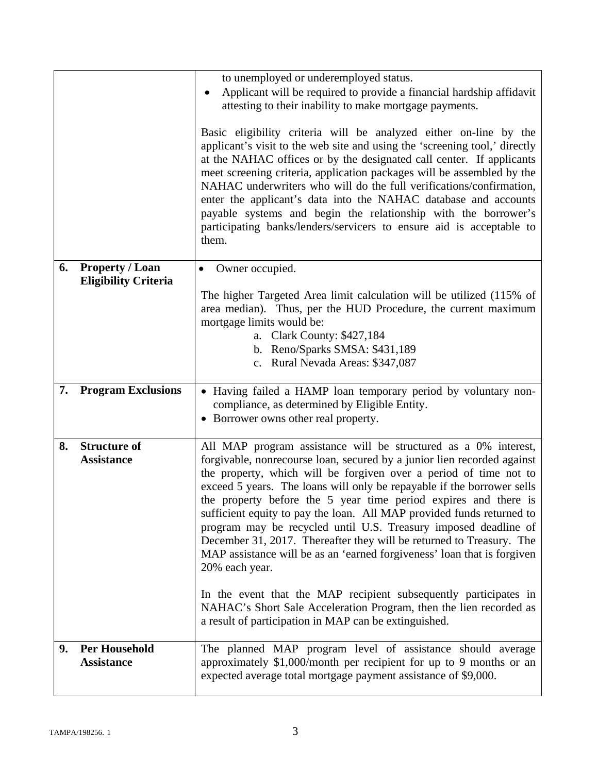|    |                                          | to unemployed or underemployed status.                                                                                                                                                                                                                                                                                                                                                                                                                                                                                                                                                                                                                                        |
|----|------------------------------------------|-------------------------------------------------------------------------------------------------------------------------------------------------------------------------------------------------------------------------------------------------------------------------------------------------------------------------------------------------------------------------------------------------------------------------------------------------------------------------------------------------------------------------------------------------------------------------------------------------------------------------------------------------------------------------------|
|    |                                          | Applicant will be required to provide a financial hardship affidavit<br>attesting to their inability to make mortgage payments.                                                                                                                                                                                                                                                                                                                                                                                                                                                                                                                                               |
|    |                                          | Basic eligibility criteria will be analyzed either on-line by the<br>applicant's visit to the web site and using the 'screening tool,' directly<br>at the NAHAC offices or by the designated call center. If applicants<br>meet screening criteria, application packages will be assembled by the<br>NAHAC underwriters who will do the full verifications/confirmation,<br>enter the applicant's data into the NAHAC database and accounts<br>payable systems and begin the relationship with the borrower's<br>participating banks/lenders/servicers to ensure aid is acceptable to<br>them.                                                                                |
| 6. | <b>Property / Loan</b>                   | Owner occupied.<br>$\bullet$                                                                                                                                                                                                                                                                                                                                                                                                                                                                                                                                                                                                                                                  |
|    | <b>Eligibility Criteria</b>              | The higher Targeted Area limit calculation will be utilized (115% of<br>area median). Thus, per the HUD Procedure, the current maximum<br>mortgage limits would be:<br>a. Clark County: \$427,184<br>b. Reno/Sparks SMSA: \$431,189<br>c. Rural Nevada Areas: \$347,087                                                                                                                                                                                                                                                                                                                                                                                                       |
| 7. | <b>Program Exclusions</b>                |                                                                                                                                                                                                                                                                                                                                                                                                                                                                                                                                                                                                                                                                               |
|    |                                          | • Having failed a HAMP loan temporary period by voluntary non-<br>compliance, as determined by Eligible Entity.                                                                                                                                                                                                                                                                                                                                                                                                                                                                                                                                                               |
|    |                                          | • Borrower owns other real property.                                                                                                                                                                                                                                                                                                                                                                                                                                                                                                                                                                                                                                          |
| 8. | <b>Structure of</b><br><b>Assistance</b> | All MAP program assistance will be structured as a 0% interest,<br>forgivable, nonrecourse loan, secured by a junior lien recorded against<br>the property, which will be forgiven over a period of time not to<br>exceed 5 years. The loans will only be repayable if the borrower sells<br>the property before the 5 year time period expires and there is<br>sufficient equity to pay the loan. All MAP provided funds returned to<br>program may be recycled until U.S. Treasury imposed deadline of<br>December 31, 2017. Thereafter they will be returned to Treasury. The<br>MAP assistance will be as an 'earned forgiveness' loan that is forgiven<br>20% each year. |
|    |                                          | In the event that the MAP recipient subsequently participates in<br>NAHAC's Short Sale Acceleration Program, then the lien recorded as<br>a result of participation in MAP can be extinguished.                                                                                                                                                                                                                                                                                                                                                                                                                                                                               |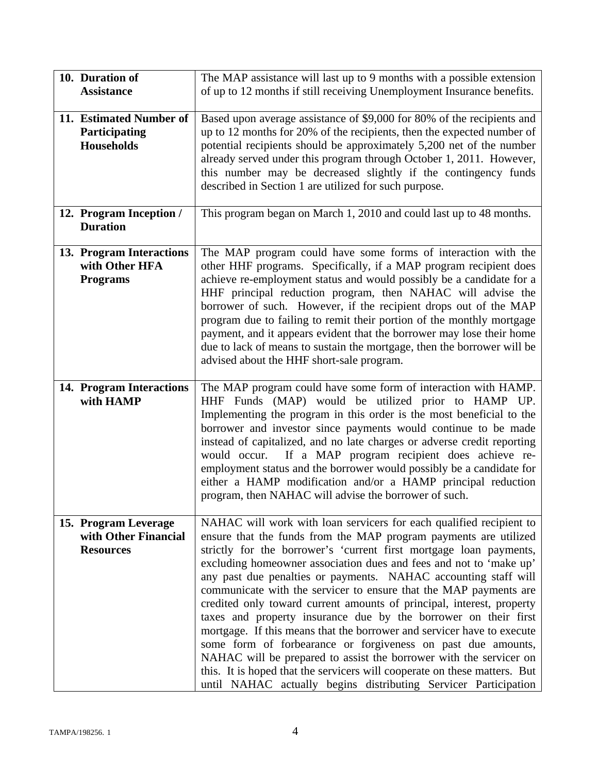| 10. Duration of<br><b>Assistance</b>                             | The MAP assistance will last up to 9 months with a possible extension<br>of up to 12 months if still receiving Unemployment Insurance benefits.                                                                                                                                                                                                                                                                                                                                                                                                                                                                                                                                                                                                                                                                                                                                                                                         |
|------------------------------------------------------------------|-----------------------------------------------------------------------------------------------------------------------------------------------------------------------------------------------------------------------------------------------------------------------------------------------------------------------------------------------------------------------------------------------------------------------------------------------------------------------------------------------------------------------------------------------------------------------------------------------------------------------------------------------------------------------------------------------------------------------------------------------------------------------------------------------------------------------------------------------------------------------------------------------------------------------------------------|
| 11. Estimated Number of<br>Participating<br><b>Households</b>    | Based upon average assistance of \$9,000 for 80% of the recipients and<br>up to 12 months for 20% of the recipients, then the expected number of<br>potential recipients should be approximately 5,200 net of the number<br>already served under this program through October 1, 2011. However,<br>this number may be decreased slightly if the contingency funds<br>described in Section 1 are utilized for such purpose.                                                                                                                                                                                                                                                                                                                                                                                                                                                                                                              |
| 12. Program Inception /<br><b>Duration</b>                       | This program began on March 1, 2010 and could last up to 48 months.                                                                                                                                                                                                                                                                                                                                                                                                                                                                                                                                                                                                                                                                                                                                                                                                                                                                     |
| 13. Program Interactions<br>with Other HFA<br><b>Programs</b>    | The MAP program could have some forms of interaction with the<br>other HHF programs. Specifically, if a MAP program recipient does<br>achieve re-employment status and would possibly be a candidate for a<br>HHF principal reduction program, then NAHAC will advise the<br>borrower of such. However, if the recipient drops out of the MAP<br>program due to failing to remit their portion of the monthly mortgage<br>payment, and it appears evident that the borrower may lose their home<br>due to lack of means to sustain the mortgage, then the borrower will be<br>advised about the HHF short-sale program.                                                                                                                                                                                                                                                                                                                 |
| 14. Program Interactions<br>with HAMP                            | The MAP program could have some form of interaction with HAMP.<br>HHF Funds (MAP) would be utilized prior to HAMP UP.<br>Implementing the program in this order is the most beneficial to the<br>borrower and investor since payments would continue to be made<br>instead of capitalized, and no late charges or adverse credit reporting<br>If a MAP program recipient does achieve re-<br>would occur.<br>employment status and the borrower would possibly be a candidate for<br>either a HAMP modification and/or a HAMP principal reduction<br>program, then NAHAC will advise the borrower of such.                                                                                                                                                                                                                                                                                                                              |
| 15. Program Leverage<br>with Other Financial<br><b>Resources</b> | NAHAC will work with loan servicers for each qualified recipient to<br>ensure that the funds from the MAP program payments are utilized<br>strictly for the borrower's 'current first mortgage loan payments,<br>excluding homeowner association dues and fees and not to 'make up'<br>any past due penalties or payments. NAHAC accounting staff will<br>communicate with the servicer to ensure that the MAP payments are<br>credited only toward current amounts of principal, interest, property<br>taxes and property insurance due by the borrower on their first<br>mortgage. If this means that the borrower and servicer have to execute<br>some form of forbearance or forgiveness on past due amounts,<br>NAHAC will be prepared to assist the borrower with the servicer on<br>this. It is hoped that the servicers will cooperate on these matters. But<br>until NAHAC actually begins distributing Servicer Participation |